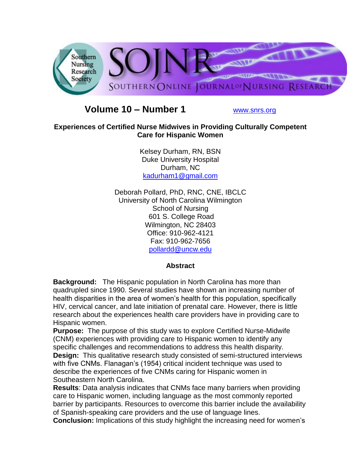

# **Volume 10 – Number 1** [www.snrs.org](http://www.snrs.org/)

### **Experiences of Certified Nurse Midwives in Providing Culturally Competent Care for Hispanic Women**

Kelsey Durham, RN, BSN Duke University Hospital Durham, NC [kadurham1@gmail.com](mailto:kadurham1@gmail.com)

Deborah Pollard, PhD, RNC, CNE, IBCLC University of North Carolina Wilmington School of Nursing 601 S. College Road Wilmington, NC 28403 Office: 910-962-4121 Fax: 910-962-7656 [pollardd@uncw.edu](mailto:pollardd@uncw.edu)

### **Abstract**

**Background:** The Hispanic population in North Carolina has more than quadrupled since 1990. Several studies have shown an increasing number of health disparities in the area of women's health for this population, specifically HIV, cervical cancer, and late initiation of prenatal care. However, there is little research about the experiences health care providers have in providing care to Hispanic women.

**Purpose:** The purpose of this study was to explore Certified Nurse-Midwife (CNM) experiences with providing care to Hispanic women to identify any specific challenges and recommendations to address this health disparity. **Design:** This qualitative research study consisted of semi-structured interviews with five CNMs. Flanagan's (1954) critical incident technique was used to describe the experiences of five CNMs caring for Hispanic women in Southeastern North Carolina.

**Results**: Data analysis indicates that CNMs face many barriers when providing care to Hispanic women, including language as the most commonly reported barrier by participants. Resources to overcome this barrier include the availability of Spanish-speaking care providers and the use of language lines.

**Conclusion:** Implications of this study highlight the increasing need for women"s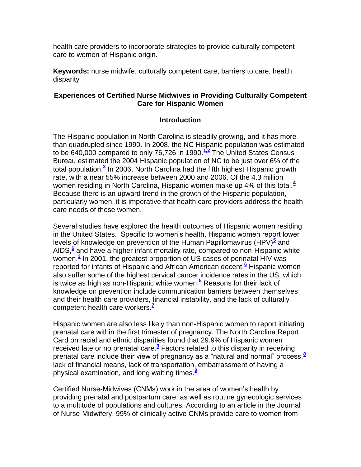health care providers to incorporate strategies to provide culturally competent care to women of Hispanic origin.

**Keywords:** nurse midwife, culturally competent care, barriers to care, health disparity

### **Experiences of Certified Nurse Midwives in Providing Culturally Competent Care for Hispanic Women**

### **Introduction**

The Hispanic population in North Carolina is steadily growing, and it has more than quadrupled since 1990. In 2008, the NC Hispanic population was estimated to be 640,000 compared to only 76,726 in 1990.**[1,2](http://snrs.org/publications/SOJNR_articles2/n)** The United States Census Bureau estimated the 2004 Hispanic population of NC to be just over 6% of the total population[.](http://snrs.org/publications/SOJNR_articles2/n)**<sup>3</sup>** In 2006, North Carolina had the fifth highest Hispanic growth rate, with a near 55% increase between 2000 and 2006. Of the 4.3 million women residing in North Carolina, Hispanic women make up 4% of this total.**[4](http://snrs.org/publications/SOJNR_articles2/n)** Because there is an upward trend in the growth of the Hispanic population, particularly women, it is imperative that health care providers address the health care needs of these women.

Several studies have explored the health outcomes of Hispanic women residing in the United States. Specific to women"s health, Hispanic women report lower levels of knowledge on prevention of the Human Papillomavirus (HPV)<sup>[5](http://snrs.org/publications/SOJNR_articles2/n)</sup> and AIDS,<sup>[6](http://snrs.org/publications/SOJNR_articles2/n)</sup> and have a higher infant mortality rate, compared to non-Hispanic white women.**[3](http://snrs.org/publications/SOJNR_articles2/n)** In 2001, the greatest proportion of US cases of perinatal HIV was reported for infants of Hispanic and African American decent.**[6](http://snrs.org/publications/SOJNR_articles2/n)** Hispanic women also suffer some of the highest cervical cancer incidence rates in the US, which is twice as high as non-Hispanic white women.**[5](http://snrs.org/publications/SOJNR_articles2/n)** Reasons for their lack of knowledge on prevention include communication barriers between themselves and their health care providers, financial instability, and the lack of culturally competent health care workers.<sup>1</sup>

Hispanic women are also less likely than non-Hispanic women to report initiating prenatal care within the first trimester of pregnancy. The North Carolina Report Card on racial and ethnic disparities found that 29.9% of Hispanic women received late or no prenatal care.**[3](http://snrs.org/publications/SOJNR_articles2/n)** Factors related to this disparity in receiving prenatal care include their view of pregnancy as a "natural and normal" process,**[8](http://snrs.org/publications/SOJNR_articles2/n)** lack of financial means, lack of transportation, embarrassment of having a physical examination, and long waiting times.**[9](http://snrs.org/publications/SOJNR_articles2/n)**

Certified Nurse-Midwives (CNMs) work in the area of women"s health by providing prenatal and postpartum care, as well as routine gynecologic services to a multitude of populations and cultures. According to an article in the Journal of Nurse-Midwifery, 99% of clinically active CNMs provide care to women from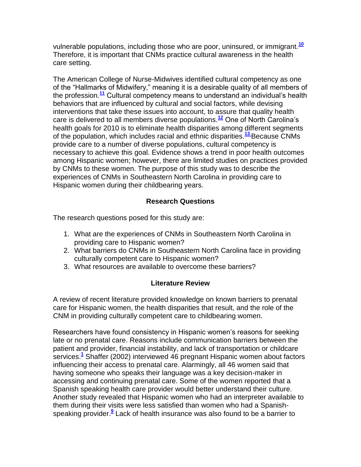vulnerable populations, including those who are poor, uninsured, or immigrant.**[10](http://snrs.org/publications/SOJNR_articles2/n)** Therefore, it is important that CNMs practice cultural awareness in the health care setting.

The American College of Nurse-Midwives identified cultural competency as one of the "Hallmarks of Midwifery," meaning it is a desirable quality of all members of the profession.**[11](http://snrs.org/publications/SOJNR_articles2/n)** Cultural competency means to understand an individual"s health behaviors that are influenced by cultural and social factors, while devising interventions that take these issues into account, to assure that quality health care is delivered to all members diverse populations.**[12](http://snrs.org/publications/SOJNR_articles2/n)** One of North Carolina"s health goals for 2010 is to eliminate health disparities among different segments of the population, which includes racial and ethnic disparities.**[13](http://snrs.org/publications/SOJNR_articles2/n)** Because CNMs provide care to a number of diverse populations, cultural competency is necessary to achieve this goal. Evidence shows a trend in poor health outcomes among Hispanic women; however, there are limited studies on practices provided by CNMs to these women. The purpose of this study was to describe the experiences of CNMs in Southeastern North Carolina in providing care to Hispanic women during their childbearing years.

# **Research Questions**

The research questions posed for this study are:

- 1. What are the experiences of CNMs in Southeastern North Carolina in providing care to Hispanic women?
- 2. What barriers do CNMs in Southeastern North Carolina face in providing culturally competent care to Hispanic women?
- 3. What resources are available to overcome these barriers?

# **Literature Review**

A review of recent literature provided knowledge on known barriers to prenatal care for Hispanic women, the health disparities that result, and the role of the CNM in providing culturally competent care to childbearing women.

Researchers have found consistency in Hispanic women"s reasons for seeking late or no prenatal care. Reasons include communication barriers between the patient and provider, financial instability, and lack of transportation or childcare services.**[1](http://snrs.org/publications/SOJNR_articles2/n)** Shaffer (2002) interviewed 46 pregnant Hispanic women about factors influencing their access to prenatal care. Alarmingly, all 46 women said that having someone who speaks their language was a key decision-maker in accessing and continuing prenatal care. Some of the women reported that a Spanish speaking health care provider would better understand their culture. Another study revealed that Hispanic women who had an interpreter available to them during their visits were less satisfied than women who had a Spanishspeaking provider.**[9](http://snrs.org/publications/SOJNR_articles2/n)** Lack of health insurance was also found to be a barrier to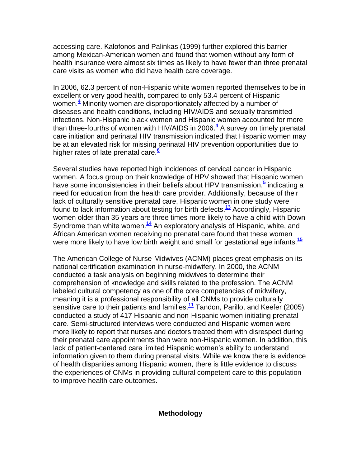accessing care. Kalofonos and Palinkas (1999) further explored this barrier among Mexican-American women and found that women without any form of health insurance were almost six times as likely to have fewer than three prenatal care visits as women who did have health care coverage.

In 2006, 62.3 percent of non-Hispanic white women reported themselves to be in excellent or very good health, compared to only 53.4 percent of Hispanic women.**[4](http://snrs.org/publications/SOJNR_articles2/n)** Minority women are disproportionately affected by a number of diseases and health conditions, including HIV/AIDS and sexually transmitted infections. Non-Hispanic black women and Hispanic women accounted for more than three-fourths of women with HIV/AIDS in 2006.**[4](http://snrs.org/publications/SOJNR_articles2/n)** A survey on timely prenatal care initiation and perinatal HIV transmission indicated that Hispanic women may be at an elevated risk for missing perinatal HIV prevention opportunities due to higher rates of late prenatal care.**[6](http://snrs.org/publications/SOJNR_articles2/n)**

Several studies have reported high incidences of cervical cancer in Hispanic women. A focus group on their knowledge of HPV showed that Hispanic women have some inconsistencies in their beliefs about HPV transmission,<sup>[5](http://snrs.org/publications/SOJNR_articles2/n)</sup> indicating a need for education from the health care provider. Additionally, because of their lack of culturally sensitive prenatal care, Hispanic women in one study were found to lack information about testing for birth defects.**[13](http://snrs.org/publications/SOJNR_articles2/n)** Accordingly, Hispanic women older than 35 years are three times more likely to have a child with Down Syndrome than white women.**[14](http://snrs.org/publications/SOJNR_articles2/n)** An exploratory analysis of Hispanic, white, and African American women receiving no prenatal care found that these women were more likely to have low birth weight and small for gestational age infants.**[15](http://snrs.org/publications/SOJNR_articles2/n)**

The American College of Nurse-Midwives (ACNM) places great emphasis on its national certification examination in nurse-midwifery. In 2000, the ACNM conducted a task analysis on beginning midwives to determine their comprehension of knowledge and skills related to the profession. The ACNM labeled cultural competency as one of the core competencies of midwifery, meaning it is a professional responsibility of all CNMs to provide culturally sensitive care to their patients and families.**[11](http://snrs.org/publications/SOJNR_articles2/n)** Tandon, Parillo, and Keefer (2005) conducted a study of 417 Hispanic and non-Hispanic women initiating prenatal care. Semi-structured interviews were conducted and Hispanic women were more likely to report that nurses and doctors treated them with disrespect during their prenatal care appointments than were non-Hispanic women. In addition, this lack of patient-centered care limited Hispanic women"s ability to understand information given to them during prenatal visits. While we know there is evidence of health disparities among Hispanic women, there is little evidence to discuss the experiences of CNMs in providing cultural competent care to this population to improve health care outcomes.

#### **Methodology**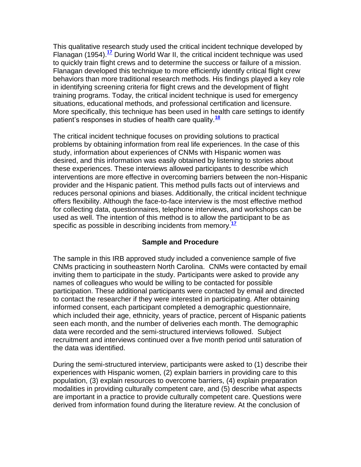This qualitative research study used the critical incident technique developed by Flanagan (1954).**[17](http://snrs.org/publications/SOJNR_articles2/n)** During World War II, the critical incident technique was used to quickly train flight crews and to determine the success or failure of a mission. Flanagan developed this technique to more efficiently identify critical flight crew behaviors than more traditional research methods. His findings played a key role in identifying screening criteria for flight crews and the development of flight training programs. Today, the critical incident technique is used for emergency situations, educational methods, and professional certification and licensure. More specifically, this technique has been used in health care settings to identify patient"s responses in studies of health care quality.**[18](http://snrs.org/publications/SOJNR_articles2/n)**

The critical incident technique focuses on providing solutions to practical problems by obtaining information from real life experiences. In the case of this study, information about experiences of CNMs with Hispanic women was desired, and this information was easily obtained by listening to stories about these experiences. These interviews allowed participants to describe which interventions are more effective in overcoming barriers between the non-Hispanic provider and the Hispanic patient. This method pulls facts out of interviews and reduces personal opinions and biases. Additionally, the critical incident technique offers flexibility. Although the face-to-face interview is the most effective method for collecting data, questionnaires, telephone interviews, and workshops can be used as well. The intention of this method is to allow the participant to be as specific as possible in describing incidents from memory.**[17](http://snrs.org/publications/SOJNR_articles2/n)**

### **Sample and Procedure**

The sample in this IRB approved study included a convenience sample of five CNMs practicing in southeastern North Carolina. CNMs were contacted by email inviting them to participate in the study. Participants were asked to provide any names of colleagues who would be willing to be contacted for possible participation. These additional participants were contacted by email and directed to contact the researcher if they were interested in participating. After obtaining informed consent, each participant completed a demographic questionnaire, which included their age, ethnicity, years of practice, percent of Hispanic patients seen each month, and the number of deliveries each month. The demographic data were recorded and the semi-structured interviews followed. Subject recruitment and interviews continued over a five month period until saturation of the data was identified.

During the semi-structured interview, participants were asked to (1) describe their experiences with Hispanic women, (2) explain barriers in providing care to this population, (3) explain resources to overcome barriers, (4) explain preparation modalities in providing culturally competent care, and (5) describe what aspects are important in a practice to provide culturally competent care. Questions were derived from information found during the literature review. At the conclusion of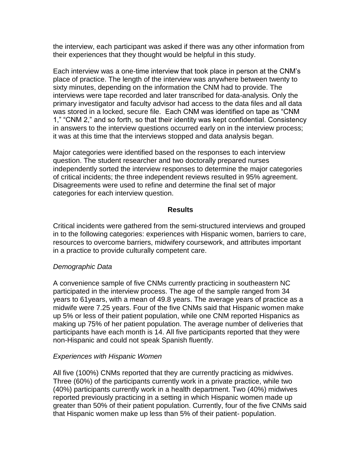the interview, each participant was asked if there was any other information from their experiences that they thought would be helpful in this study.

Each interview was a one-time interview that took place in person at the CNM"s place of practice. The length of the interview was anywhere between twenty to sixty minutes, depending on the information the CNM had to provide. The interviews were tape recorded and later transcribed for data-analysis. Only the primary investigator and faculty advisor had access to the data files and all data was stored in a locked, secure file. Each CNM was identified on tape as "CNM 1," "CNM 2," and so forth, so that their identity was kept confidential. Consistency in answers to the interview questions occurred early on in the interview process; it was at this time that the interviews stopped and data analysis began.

Major categories were identified based on the responses to each interview question. The student researcher and two doctorally prepared nurses independently sorted the interview responses to determine the major categories of critical incidents; the three independent reviews resulted in 95% agreement. Disagreements were used to refine and determine the final set of major categories for each interview question.

#### **Results**

Critical incidents were gathered from the semi-structured interviews and grouped in to the following categories: experiences with Hispanic women, barriers to care, resources to overcome barriers, midwifery coursework, and attributes important in a practice to provide culturally competent care.

### *Demographic Data*

A convenience sample of five CNMs currently practicing in southeastern NC participated in the interview process. The age of the sample ranged from 34 years to 61years, with a mean of 49.8 years. The average years of practice as a midwife were 7.25 years. Four of the five CNMs said that Hispanic women make up 5% or less of their patient population, while one CNM reported Hispanics as making up 75% of her patient population. The average number of deliveries that participants have each month is 14. All five participants reported that they were non-Hispanic and could not speak Spanish fluently.

### *Experiences with Hispanic Women*

All five (100%) CNMs reported that they are currently practicing as midwives. Three (60%) of the participants currently work in a private practice, while two (40%) participants currently work in a health department. Two (40%) midwives reported previously practicing in a setting in which Hispanic women made up greater than 50% of their patient population. Currently, four of the five CNMs said that Hispanic women make up less than 5% of their patient- population.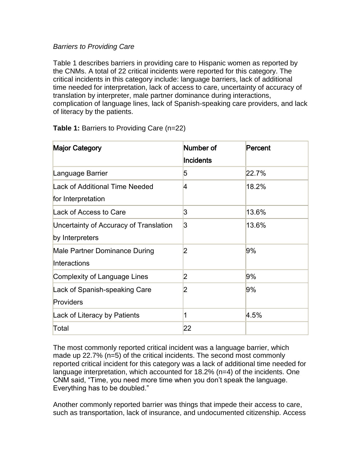# *Barriers to Providing Care*

Table 1 describes barriers in providing care to Hispanic women as reported by the CNMs. A total of 22 critical incidents were reported for this category. The critical incidents in this category include: language barriers, lack of additional time needed for interpretation, lack of access to care, uncertainty of accuracy of translation by interpreter, male partner dominance during interactions, complication of language lines, lack of Spanish-speaking care providers, and lack of literacy by the patients.

| <b>Major Category</b>                  | Number of      | Percent |
|----------------------------------------|----------------|---------|
|                                        | Incidents      |         |
| Language Barrier                       | 5              | 22.7%   |
| <b>Lack of Additional Time Needed</b>  | 4              | 18.2%   |
| for Interpretation                     |                |         |
| Lack of Access to Care                 | 3              | 13.6%   |
| Uncertainty of Accuracy of Translation | 3              | 13.6%   |
| by Interpreters                        |                |         |
| Male Partner Dominance During          | 2              | 9%      |
| Interactions                           |                |         |
| <b>Complexity of Language Lines</b>    | 2              | 9%      |
| Lack of Spanish-speaking Care          | $\overline{2}$ | 9%      |
| Providers                              |                |         |
| Lack of Literacy by Patients           | 1              | 4.5%    |
| Total                                  | 22             |         |

**Table 1:** Barriers to Providing Care (n=22)

The most commonly reported critical incident was a language barrier, which made up 22.7% (n=5) of the critical incidents. The second most commonly reported critical incident for this category was a lack of additional time needed for language interpretation, which accounted for 18.2% (n=4) of the incidents. One CNM said, "Time, you need more time when you don"t speak the language. Everything has to be doubled."

Another commonly reported barrier was things that impede their access to care, such as transportation, lack of insurance, and undocumented citizenship. Access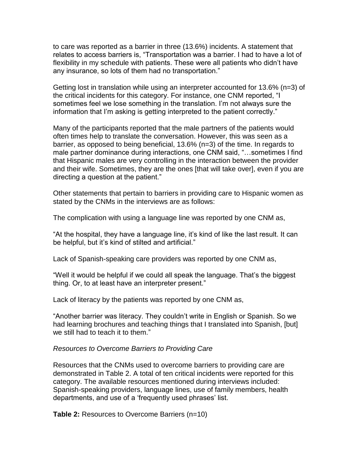to care was reported as a barrier in three (13.6%) incidents. A statement that relates to access barriers is, "Transportation was a barrier. I had to have a lot of flexibility in my schedule with patients. These were all patients who didn"t have any insurance, so lots of them had no transportation."

Getting lost in translation while using an interpreter accounted for 13.6% (n=3) of the critical incidents for this category. For instance, one CNM reported, "I sometimes feel we lose something in the translation. I"m not always sure the information that I"m asking is getting interpreted to the patient correctly."

Many of the participants reported that the male partners of the patients would often times help to translate the conversation. However, this was seen as a barrier, as opposed to being beneficial, 13.6% (n=3) of the time. In regards to male partner dominance during interactions, one CNM said, "…sometimes I find that Hispanic males are very controlling in the interaction between the provider and their wife. Sometimes, they are the ones [that will take over], even if you are directing a question at the patient."

Other statements that pertain to barriers in providing care to Hispanic women as stated by the CNMs in the interviews are as follows:

The complication with using a language line was reported by one CNM as,

"At the hospital, they have a language line, it"s kind of like the last result. It can be helpful, but it's kind of stilted and artificial."

Lack of Spanish-speaking care providers was reported by one CNM as,

"Well it would be helpful if we could all speak the language. That"s the biggest thing. Or, to at least have an interpreter present."

Lack of literacy by the patients was reported by one CNM as,

"Another barrier was literacy. They couldn"t write in English or Spanish. So we had learning brochures and teaching things that I translated into Spanish, [but] we still had to teach it to them."

#### *Resources to Overcome Barriers to Providing Care*

Resources that the CNMs used to overcome barriers to providing care are demonstrated in Table 2. A total of ten critical incidents were reported for this category. The available resources mentioned during interviews included: Spanish-speaking providers, language lines, use of family members, health departments, and use of a 'frequently used phrases' list.

**Table 2:** Resources to Overcome Barriers (n=10)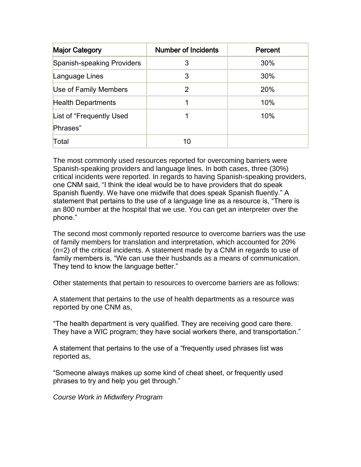| <b>Major Category</b>      | <b>Number of Incidents</b> | Percent |
|----------------------------|----------------------------|---------|
| Spanish-speaking Providers | 3                          | 30%     |
| Language Lines             | 3                          | 30%     |
| Use of Family Members      | 2                          | 20%     |
| <b>Health Departments</b>  |                            | 10%     |
| List of "Frequently Used"  |                            | 10%     |
| Phrases"                   |                            |         |
| Total                      | 10                         |         |

The most commonly used resources reported for overcoming barriers were Spanish-speaking providers and language lines. In both cases, three (30%) critical incidents were reported. In regards to having Spanish-speaking providers, one CNM said, "I think the ideal would be to have providers that do speak Spanish fluently. We have one midwife that does speak Spanish fluently." A statement that pertains to the use of a language line as a resource is, "There is an 800 number at the hospital that we use. You can get an interpreter over the phone."

The second most commonly reported resource to overcome barriers was the use of family members for translation and interpretation, which accounted for 20% (n=2) of the critical incidents. A statement made by a CNM in regards to use of family members is, "We can use their husbands as a means of communication. They tend to know the language better."

Other statements that pertain to resources to overcome barriers are as follows:

A statement that pertains to the use of health departments as a resource was reported by one CNM as,

"The health department is very qualified. They are receiving good care there. They have a WIC program; they have social workers there, and transportation."

A statement that pertains to the use of a "frequently used phrases list was reported as,

"Someone always makes up some kind of cheat sheet, or frequently used phrases to try and help you get through."

*Course Work in Midwifery Program*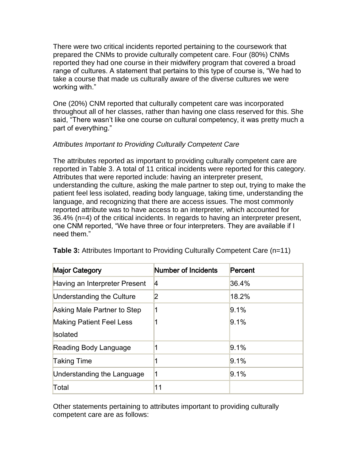There were two critical incidents reported pertaining to the coursework that prepared the CNMs to provide culturally competent care. Four (80%) CNMs reported they had one course in their midwifery program that covered a broad range of cultures. A statement that pertains to this type of course is, "We had to take a course that made us culturally aware of the diverse cultures we were working with."

One (20%) CNM reported that culturally competent care was incorporated throughout all of her classes, rather than having one class reserved for this. She said, "There wasn"t like one course on cultural competency, it was pretty much a part of everything."

# *Attributes Important to Providing Culturally Competent Care*

The attributes reported as important to providing culturally competent care are reported in Table 3. A total of 11 critical incidents were reported for this category. Attributes that were reported include: having an interpreter present, understanding the culture, asking the male partner to step out, trying to make the patient feel less isolated, reading body language, taking time, understanding the language, and recognizing that there are access issues. The most commonly reported attribute was to have access to an interpreter, which accounted for 36.4% (n=4) of the critical incidents. In regards to having an interpreter present, one CNM reported, "We have three or four interpreters. They are available if I need them."

| <b>Major Category</b>           | Number of Incidents | Percent |
|---------------------------------|---------------------|---------|
| Having an Interpreter Present   | 14                  | 36.4%   |
| Understanding the Culture       | 2                   | 18.2%   |
| Asking Male Partner to Step     | 1                   | 9.1%    |
| <b>Making Patient Feel Less</b> |                     | 9.1%    |
| <b>Isolated</b>                 |                     |         |
| Reading Body Language           |                     | 9.1%    |
| <b>Taking Time</b>              | 1                   | 9.1%    |
| Understanding the Language      | 1                   | 9.1%    |
| Total                           | 11                  |         |

**Table 3:** Attributes Important to Providing Culturally Competent Care (n=11)

Other statements pertaining to attributes important to providing culturally competent care are as follows: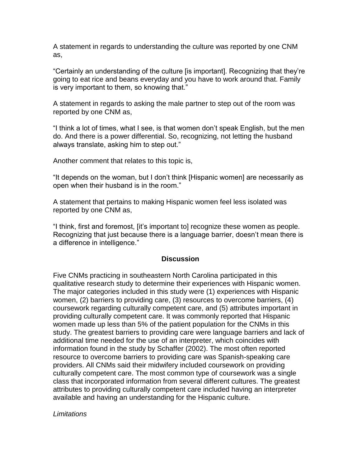A statement in regards to understanding the culture was reported by one CNM as,

"Certainly an understanding of the culture [is important]. Recognizing that they"re going to eat rice and beans everyday and you have to work around that. Family is very important to them, so knowing that."

A statement in regards to asking the male partner to step out of the room was reported by one CNM as,

"I think a lot of times, what I see, is that women don"t speak English, but the men do. And there is a power differential. So, recognizing, not letting the husband always translate, asking him to step out."

Another comment that relates to this topic is,

"It depends on the woman, but I don"t think [Hispanic women] are necessarily as open when their husband is in the room."

A statement that pertains to making Hispanic women feel less isolated was reported by one CNM as,

"I think, first and foremost, [it"s important to] recognize these women as people. Recognizing that just because there is a language barrier, doesn"t mean there is a difference in intelligence."

### **Discussion**

Five CNMs practicing in southeastern North Carolina participated in this qualitative research study to determine their experiences with Hispanic women. The major categories included in this study were (1) experiences with Hispanic women, (2) barriers to providing care, (3) resources to overcome barriers, (4) coursework regarding culturally competent care, and (5) attributes important in providing culturally competent care. It was commonly reported that Hispanic women made up less than 5% of the patient population for the CNMs in this study. The greatest barriers to providing care were language barriers and lack of additional time needed for the use of an interpreter, which coincides with information found in the study by Schaffer (2002). The most often reported resource to overcome barriers to providing care was Spanish-speaking care providers. All CNMs said their midwifery included coursework on providing culturally competent care. The most common type of coursework was a single class that incorporated information from several different cultures. The greatest attributes to providing culturally competent care included having an interpreter available and having an understanding for the Hispanic culture.

### *Limitations*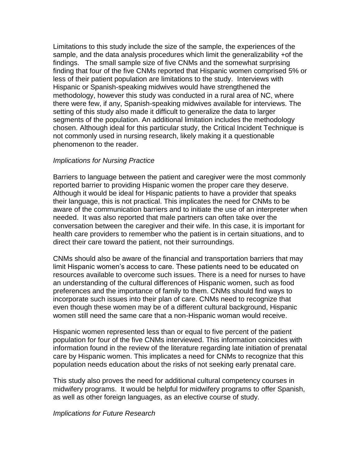Limitations to this study include the size of the sample, the experiences of the sample, and the data analysis procedures which limit the generalizability +of the findings. The small sample size of five CNMs and the somewhat surprising finding that four of the five CNMs reported that Hispanic women comprised 5% or less of their patient population are limitations to the study. Interviews with Hispanic or Spanish-speaking midwives would have strengthened the methodology, however this study was conducted in a rural area of NC, where there were few, if any, Spanish-speaking midwives available for interviews. The setting of this study also made it difficult to generalize the data to larger segments of the population. An additional limitation includes the methodology chosen. Although ideal for this particular study, the Critical Incident Technique is not commonly used in nursing research, likely making it a questionable phenomenon to the reader.

#### *Implications for Nursing Practice*

Barriers to language between the patient and caregiver were the most commonly reported barrier to providing Hispanic women the proper care they deserve. Although it would be ideal for Hispanic patients to have a provider that speaks their language, this is not practical. This implicates the need for CNMs to be aware of the communication barriers and to initiate the use of an interpreter when needed. It was also reported that male partners can often take over the conversation between the caregiver and their wife. In this case, it is important for health care providers to remember who the patient is in certain situations, and to direct their care toward the patient, not their surroundings.

CNMs should also be aware of the financial and transportation barriers that may limit Hispanic women"s access to care. These patients need to be educated on resources available to overcome such issues. There is a need for nurses to have an understanding of the cultural differences of Hispanic women, such as food preferences and the importance of family to them. CNMs should find ways to incorporate such issues into their plan of care. CNMs need to recognize that even though these women may be of a different cultural background, Hispanic women still need the same care that a non-Hispanic woman would receive.

Hispanic women represented less than or equal to five percent of the patient population for four of the five CNMs interviewed. This information coincides with information found in the review of the literature regarding late initiation of prenatal care by Hispanic women. This implicates a need for CNMs to recognize that this population needs education about the risks of not seeking early prenatal care.

This study also proves the need for additional cultural competency courses in midwifery programs. It would be helpful for midwifery programs to offer Spanish, as well as other foreign languages, as an elective course of study.

#### *Implications for Future Research*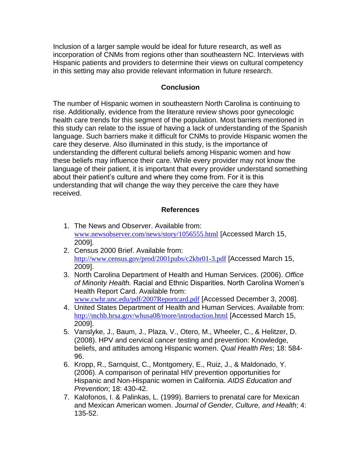Inclusion of a larger sample would be ideal for future research, as well as incorporation of CNMs from regions other than southeastern NC. Interviews with Hispanic patients and providers to determine their views on cultural competency in this setting may also provide relevant information in future research.

# **Conclusion**

The number of Hispanic women in southeastern North Carolina is continuing to rise. Additionally, evidence from the literature review shows poor gynecologic health care trends for this segment of the population. Most barriers mentioned in this study can relate to the issue of having a lack of understanding of the Spanish language. Such barriers make it difficult for CNMs to provide Hispanic women the care they deserve. Also illuminated in this study, is the importance of understanding the different cultural beliefs among Hispanic women and how these beliefs may influence their care. While every provider may not know the language of their patient, it is important that every provider understand something about their patient"s culture and where they come from. For it is this understanding that will change the way they perceive the care they have received.

# **References**

- 1. The News and Observer. Available from: [www.newsobserver.com/news/story/1056555.html](http://www.newsobserver.com/news/story/1056555.html) [Accessed March 15, 2009].
- 2. Census 2000 Brief. Available from: <http://www.census.gov/prod/2001pubs/c2kbr01-3.pdf> [Accessed March 15, 2009].
- 3. North Carolina Department of Health and Human Services. (2006). *Office of Minority Health.* Racial and Ethnic Disparities. North Carolina Women"s Health Report Card. Available from:

[www.cwhr.unc.edu/pdf/2007Reportcard.pdf](http://snrs.org/publications/SOJNR_articles2/www.cwhr.unc.edu/pdf/2007Reportcard.pdf) [Accessed December 3, 2008].

- 4. United States Department of Health and Human Services. Available from: <http://mchb.hrsa.gov/whusa08/more/introduction.html> [Accessed March 15, 2009].
- 5. Vanslyke, J., Baum, J., Plaza, V., Otero, M., Wheeler, C., & Helitzer, D. (2008). HPV and cervical cancer testing and prevention: Knowledge, beliefs, and attitudes among Hispanic women. *Qual Health Res*; 18: 584- 96.
- 6. Kropp, R., Sarnquist, C., Montgomery, E., Ruiz, J., & Maldonado, Y. (2006). A comparison of perinatal HIV prevention opportunities for Hispanic and Non-Hispanic women in California. *AIDS Education and Prevention*; 18: 430-42.
- 7. Kalofonos, I. & Palinkas, L. (1999). Barriers to prenatal care for Mexican and Mexican American women. *Journal of Gender, Culture, and Health*; 4: 135-52.